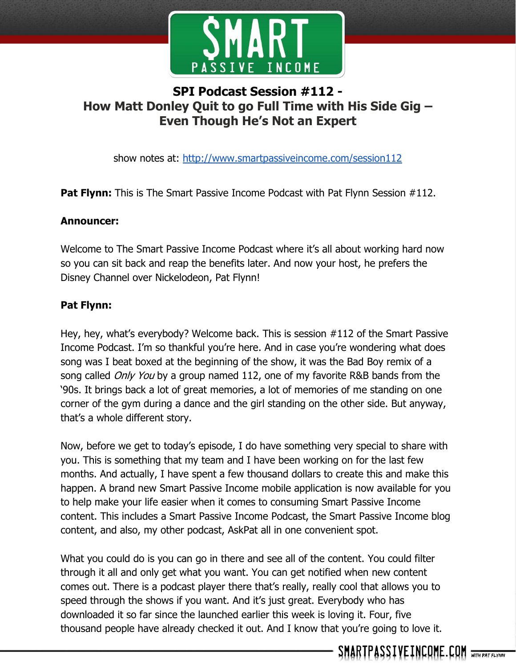

# **SPI Podcast Session #112 - How Matt Donley Quit to go Full Time with His Side Gig – Even Though He's Not an Expert**

show notes at: http://www.smartpassiveincome.com/session112

**Pat Flynn:** This is The Smart Passive Income Podcast with Pat Flynn Session #112.

#### **Announcer:**

Welcome to The Smart Passive Income Podcast where it's all about working hard now so you can sit back and reap the benefits later. And now your host, he prefers the Disney Channel over Nickelodeon, Pat Flynn!

## **Pat Flynn:**

Hey, hey, what's everybody? Welcome back. This is session #112 of the Smart Passive Income Podcast. I'm so thankful you're here. And in case you're wondering what does song was I beat boxed at the beginning of the show, it was the Bad Boy remix of a song called *Only You* by a group named 112, one of my favorite R&B bands from the '90s. It brings back a lot of great memories, a lot of memories of me standing on one corner of the gym during a dance and the girl standing on the other side. But anyway, that's a whole different story.

Now, before we get to today's episode, I do have something very special to share with you. This is something that my team and I have been working on for the last few months. And actually, I have spent a few thousand dollars to create this and make this happen. A brand new Smart Passive Income mobile application is now available for you to help make your life easier when it comes to consuming Smart Passive Income content. This includes a Smart Passive Income Podcast, the Smart Passive Income blog content, and also, my other podcast, AskPat all in one convenient spot.

What you could do is you can go in there and see all of the content. You could filter through it all and only get what you want. You can get notified when new content comes out. There is a podcast player there that's really, really cool that allows you to speed through the shows if you want. And it's just great. Everybody who has downloaded it so far since the launched earlier this week is loving it. Four, five thousand people have already checked it out. And I know that you're going to love it.

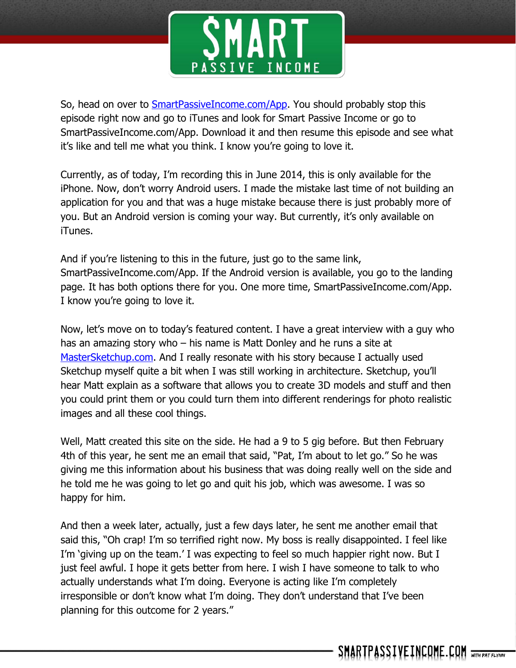

So, head on over to [SmartPassiveIncome.com/App.](http://smartpassiveincome.com/App) You should probably stop this episode right now and go to iTunes and look for Smart Passive Income or go to SmartPassiveIncome.com/App. Download it and then resume this episode and see what it's like and tell me what you think. I know you're going to love it.

Currently, as of today, I'm recording this in June 2014, this is only available for the iPhone. Now, don't worry Android users. I made the mistake last time of not building an application for you and that was a huge mistake because there is just probably more of you. But an Android version is coming your way. But currently, it's only available on iTunes.

And if you're listening to this in the future, just go to the same link, SmartPassiveIncome.com/App. If the Android version is available, you go to the landing page. It has both options there for you. One more time, SmartPassiveIncome.com/App. I know you're going to love it.

Now, let's move on to today's featured content. I have a great interview with a guy who has an amazing story who – his name is Matt Donley and he runs a site at [MasterSketchup.com.](http://mastersketchup.com/) And I really resonate with his story because I actually used Sketchup myself quite a bit when I was still working in architecture. Sketchup, you'll hear Matt explain as a software that allows you to create 3D models and stuff and then you could print them or you could turn them into different renderings for photo realistic images and all these cool things.

Well, Matt created this site on the side. He had a 9 to 5 gig before. But then February 4th of this year, he sent me an email that said, "Pat, I'm about to let go." So he was giving me this information about his business that was doing really well on the side and he told me he was going to let go and quit his job, which was awesome. I was so happy for him.

And then a week later, actually, just a few days later, he sent me another email that said this, "Oh crap! I'm so terrified right now. My boss is really disappointed. I feel like I'm 'giving up on the team.' I was expecting to feel so much happier right now. But I just feel awful. I hope it gets better from here. I wish I have someone to talk to who actually understands what I'm doing. Everyone is acting like I'm completely irresponsible or don't know what I'm doing. They don't understand that I've been planning for this outcome for 2 years."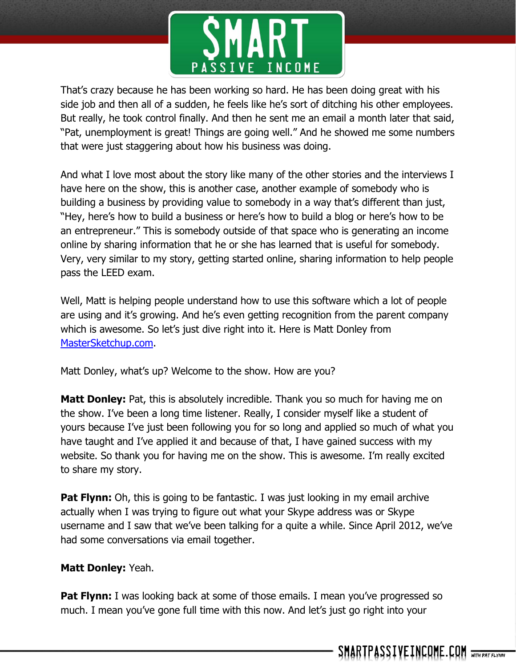

That's crazy because he has been working so hard. He has been doing great with his side job and then all of a sudden, he feels like he's sort of ditching his other employees. But really, he took control finally. And then he sent me an email a month later that said, "Pat, unemployment is great! Things are going well." And he showed me some numbers that were just staggering about how his business was doing.

And what I love most about the story like many of the other stories and the interviews I have here on the show, this is another case, another example of somebody who is building a business by providing value to somebody in a way that's different than just, "Hey, here's how to build a business or here's how to build a blog or here's how to be an entrepreneur." This is somebody outside of that space who is generating an income online by sharing information that he or she has learned that is useful for somebody. Very, very similar to my story, getting started online, sharing information to help people pass the LEED exam.

Well, Matt is helping people understand how to use this software which a lot of people are using and it's growing. And he's even getting recognition from the parent company which is awesome. So let's just dive right into it. Here is Matt Donley from [MasterSketchup.com.](http://mastersketchup.com/)

Matt Donley, what's up? Welcome to the show. How are you?

**Matt Donley:** Pat, this is absolutely incredible. Thank you so much for having me on the show. I've been a long time listener. Really, I consider myself like a student of yours because I've just been following you for so long and applied so much of what you have taught and I've applied it and because of that, I have gained success with my website. So thank you for having me on the show. This is awesome. I'm really excited to share my story.

**Pat Flynn:** Oh, this is going to be fantastic. I was just looking in my email archive actually when I was trying to figure out what your Skype address was or Skype username and I saw that we've been talking for a quite a while. Since April 2012, we've had some conversations via email together.

# **Matt Donley:** Yeah.

**Pat Flynn:** I was looking back at some of those emails. I mean you've progressed so much. I mean you've gone full time with this now. And let's just go right into your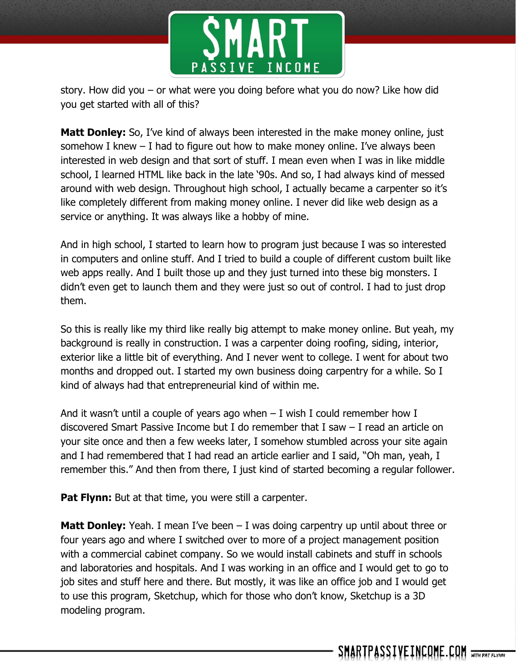

story. How did you – or what were you doing before what you do now? Like how did you get started with all of this?

**Matt Donley:** So, I've kind of always been interested in the make money online, just somehow I knew  $-$  I had to figure out how to make money online. I've always been interested in web design and that sort of stuff. I mean even when I was in like middle school, I learned HTML like back in the late '90s. And so, I had always kind of messed around with web design. Throughout high school, I actually became a carpenter so it's like completely different from making money online. I never did like web design as a service or anything. It was always like a hobby of mine.

And in high school, I started to learn how to program just because I was so interested in computers and online stuff. And I tried to build a couple of different custom built like web apps really. And I built those up and they just turned into these big monsters. I didn't even get to launch them and they were just so out of control. I had to just drop them.

So this is really like my third like really big attempt to make money online. But yeah, my background is really in construction. I was a carpenter doing roofing, siding, interior, exterior like a little bit of everything. And I never went to college. I went for about two months and dropped out. I started my own business doing carpentry for a while. So I kind of always had that entrepreneurial kind of within me.

And it wasn't until a couple of years ago when  $-$  I wish I could remember how I discovered Smart Passive Income but I do remember that I saw – I read an article on your site once and then a few weeks later, I somehow stumbled across your site again and I had remembered that I had read an article earlier and I said, "Oh man, yeah, I remember this." And then from there, I just kind of started becoming a regular follower.

**Pat Flynn:** But at that time, you were still a carpenter.

**Matt Donley:** Yeah. I mean I've been – I was doing carpentry up until about three or four years ago and where I switched over to more of a project management position with a commercial cabinet company. So we would install cabinets and stuff in schools and laboratories and hospitals. And I was working in an office and I would get to go to job sites and stuff here and there. But mostly, it was like an office job and I would get to use this program, Sketchup, which for those who don't know, Sketchup is a 3D modeling program.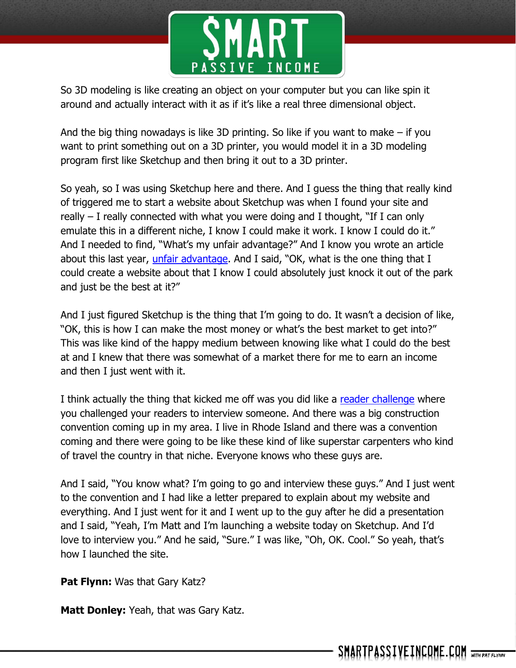

So 3D modeling is like creating an object on your computer but you can like spin it around and actually interact with it as if it's like a real three dimensional object.

And the big thing nowadays is like 3D printing. So like if you want to make – if you want to print something out on a 3D printer, you would model it in a 3D modeling program first like Sketchup and then bring it out to a 3D printer.

So yeah, so I was using Sketchup here and there. And I guess the thing that really kind of triggered me to start a website about Sketchup was when I found your site and really – I really connected with what you were doing and I thought, "If I can only emulate this in a different niche, I know I could make it work. I know I could do it." And I needed to find, "What's my unfair advantage?" And I know you wrote an article about this last year, *unfair advantage*. And I said, "OK, what is the one thing that I could create a website about that I know I could absolutely just knock it out of the park and just be the best at it?"

And I just figured Sketchup is the thing that I'm going to do. It wasn't a decision of like, "OK, this is how I can make the most money or what's the best market to get into?" This was like kind of the happy medium between knowing like what I could do the best at and I knew that there was somewhat of a market there for me to earn an income and then I just went with it.

I think actually the thing that kicked me off was you did like a [reader challenge](http://www.smartpassiveincome.com/reader-challenge-round-up-interviews-and-the-next-challenge/) where you challenged your readers to interview someone. And there was a big construction convention coming up in my area. I live in Rhode Island and there was a convention coming and there were going to be like these kind of like superstar carpenters who kind of travel the country in that niche. Everyone knows who these guys are.

And I said, "You know what? I'm going to go and interview these guys." And I just went to the convention and I had like a letter prepared to explain about my website and everything. And I just went for it and I went up to the guy after he did a presentation and I said, "Yeah, I'm Matt and I'm launching a website today on Sketchup. And I'd love to interview you." And he said, "Sure." I was like, "Oh, OK. Cool." So yeah, that's how I launched the site.

**Pat Flynn:** Was that Gary Katz?

**Matt Donley:** Yeah, that was Gary Katz.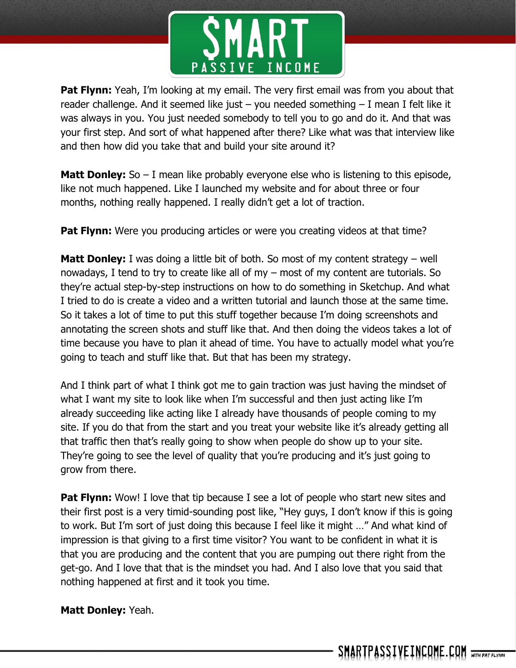

**Pat Flynn:** Yeah, I'm looking at my email. The very first email was from you about that reader challenge. And it seemed like just  $-$  you needed something  $-$  I mean I felt like it was always in you. You just needed somebody to tell you to go and do it. And that was your first step. And sort of what happened after there? Like what was that interview like and then how did you take that and build your site around it?

**Matt Donley:** So – I mean like probably everyone else who is listening to this episode, like not much happened. Like I launched my website and for about three or four months, nothing really happened. I really didn't get a lot of traction.

Pat Flynn: Were you producing articles or were you creating videos at that time?

**Matt Donley:** I was doing a little bit of both. So most of my content strategy – well nowadays, I tend to try to create like all of my – most of my content are tutorials. So they're actual step-by-step instructions on how to do something in Sketchup. And what I tried to do is create a video and a written tutorial and launch those at the same time. So it takes a lot of time to put this stuff together because I'm doing screenshots and annotating the screen shots and stuff like that. And then doing the videos takes a lot of time because you have to plan it ahead of time. You have to actually model what you're going to teach and stuff like that. But that has been my strategy.

And I think part of what I think got me to gain traction was just having the mindset of what I want my site to look like when I'm successful and then just acting like I'm already succeeding like acting like I already have thousands of people coming to my site. If you do that from the start and you treat your website like it's already getting all that traffic then that's really going to show when people do show up to your site. They're going to see the level of quality that you're producing and it's just going to grow from there.

**Pat Flynn:** Wow! I love that tip because I see a lot of people who start new sites and their first post is a very timid-sounding post like, "Hey guys, I don't know if this is going to work. But I'm sort of just doing this because I feel like it might …" And what kind of impression is that giving to a first time visitor? You want to be confident in what it is that you are producing and the content that you are pumping out there right from the get-go. And I love that that is the mindset you had. And I also love that you said that nothing happened at first and it took you time.

**Matt Donley:** Yeah.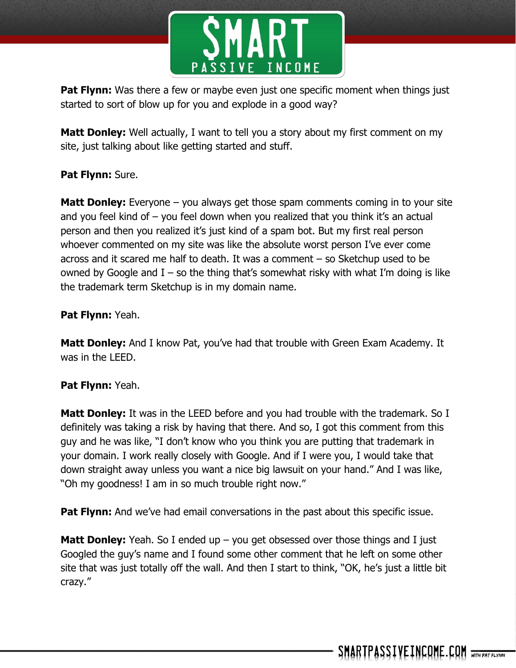

**Pat Flynn:** Was there a few or maybe even just one specific moment when things just started to sort of blow up for you and explode in a good way?

**Matt Donley:** Well actually, I want to tell you a story about my first comment on my site, just talking about like getting started and stuff.

# **Pat Flynn:** Sure.

**Matt Donley:** Everyone – you always get those spam comments coming in to your site and you feel kind of  $-$  you feel down when you realized that you think it's an actual person and then you realized it's just kind of a spam bot. But my first real person whoever commented on my site was like the absolute worst person I've ever come across and it scared me half to death. It was a comment – so Sketchup used to be owned by Google and  $I - so$  the thing that's somewhat risky with what I'm doing is like the trademark term Sketchup is in my domain name.

## **Pat Flynn:** Yeah.

**Matt Donley:** And I know Pat, you've had that trouble with Green Exam Academy. It was in the LEED.

# **Pat Flynn:** Yeah.

**Matt Donley:** It was in the LEED before and you had trouble with the trademark. So I definitely was taking a risk by having that there. And so, I got this comment from this guy and he was like, "I don't know who you think you are putting that trademark in your domain. I work really closely with Google. And if I were you, I would take that down straight away unless you want a nice big lawsuit on your hand." And I was like, "Oh my goodness! I am in so much trouble right now."

**Pat Flynn:** And we've had email conversations in the past about this specific issue.

**Matt Donley:** Yeah. So I ended up – you get obsessed over those things and I just Googled the guy's name and I found some other comment that he left on some other site that was just totally off the wall. And then I start to think, "OK, he's just a little bit crazy."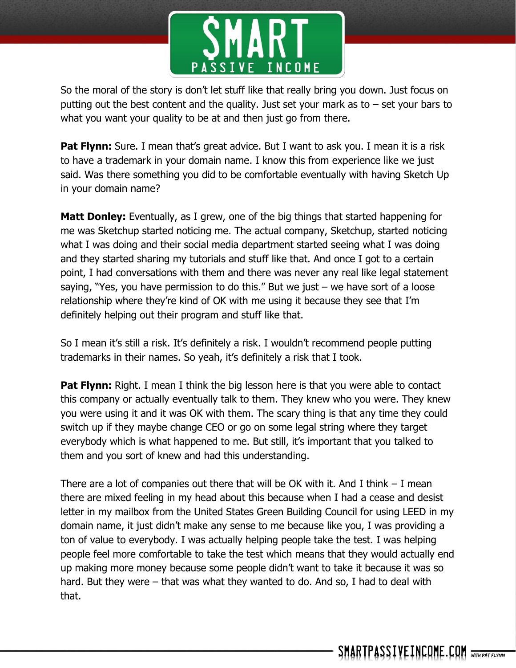

So the moral of the story is don't let stuff like that really bring you down. Just focus on putting out the best content and the quality. Just set your mark as to  $-$  set your bars to what you want your quality to be at and then just go from there.

**Pat Flynn:** Sure. I mean that's great advice. But I want to ask you. I mean it is a risk to have a trademark in your domain name. I know this from experience like we just said. Was there something you did to be comfortable eventually with having Sketch Up in your domain name?

**Matt Donley:** Eventually, as I grew, one of the big things that started happening for me was Sketchup started noticing me. The actual company, Sketchup, started noticing what I was doing and their social media department started seeing what I was doing and they started sharing my tutorials and stuff like that. And once I got to a certain point, I had conversations with them and there was never any real like legal statement saying, "Yes, you have permission to do this." But we just  $-$  we have sort of a loose relationship where they're kind of OK with me using it because they see that I'm definitely helping out their program and stuff like that.

So I mean it's still a risk. It's definitely a risk. I wouldn't recommend people putting trademarks in their names. So yeah, it's definitely a risk that I took.

**Pat Flynn:** Right. I mean I think the big lesson here is that you were able to contact this company or actually eventually talk to them. They knew who you were. They knew you were using it and it was OK with them. The scary thing is that any time they could switch up if they maybe change CEO or go on some legal string where they target everybody which is what happened to me. But still, it's important that you talked to them and you sort of knew and had this understanding.

There are a lot of companies out there that will be OK with it. And I think  $-1$  mean there are mixed feeling in my head about this because when I had a cease and desist letter in my mailbox from the United States Green Building Council for using LEED in my domain name, it just didn't make any sense to me because like you, I was providing a ton of value to everybody. I was actually helping people take the test. I was helping people feel more comfortable to take the test which means that they would actually end up making more money because some people didn't want to take it because it was so hard. But they were – that was what they wanted to do. And so, I had to deal with that.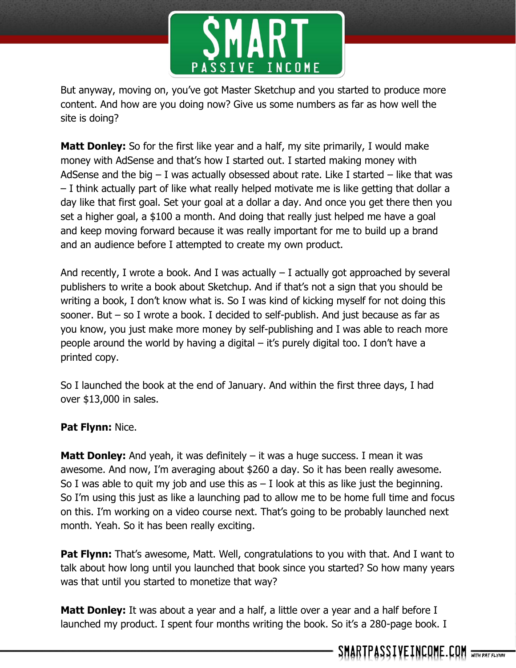

But anyway, moving on, you've got Master Sketchup and you started to produce more content. And how are you doing now? Give us some numbers as far as how well the site is doing?

**Matt Donley:** So for the first like year and a half, my site primarily, I would make money with AdSense and that's how I started out. I started making money with AdSense and the big  $-1$  was actually obsessed about rate. Like I started  $-$  like that was – I think actually part of like what really helped motivate me is like getting that dollar a day like that first goal. Set your goal at a dollar a day. And once you get there then you set a higher goal, a \$100 a month. And doing that really just helped me have a goal and keep moving forward because it was really important for me to build up a brand and an audience before I attempted to create my own product.

And recently, I wrote a book. And I was actually  $-$  I actually got approached by several publishers to write a book about Sketchup. And if that's not a sign that you should be writing a book, I don't know what is. So I was kind of kicking myself for not doing this sooner. But – so I wrote a book. I decided to self-publish. And just because as far as you know, you just make more money by self-publishing and I was able to reach more people around the world by having a digital – it's purely digital too. I don't have a printed copy.

So I launched the book at the end of January. And within the first three days, I had over \$13,000 in sales.

#### **Pat Flynn:** Nice.

**Matt Donley:** And yeah, it was definitely – it was a huge success. I mean it was awesome. And now, I'm averaging about \$260 a day. So it has been really awesome. So I was able to quit my job and use this as  $-$  I look at this as like just the beginning. So I'm using this just as like a launching pad to allow me to be home full time and focus on this. I'm working on a video course next. That's going to be probably launched next month. Yeah. So it has been really exciting.

**Pat Flynn:** That's awesome, Matt. Well, congratulations to you with that. And I want to talk about how long until you launched that book since you started? So how many years was that until you started to monetize that way?

**Matt Donley:** It was about a year and a half, a little over a year and a half before I launched my product. I spent four months writing the book. So it's a 280-page book. I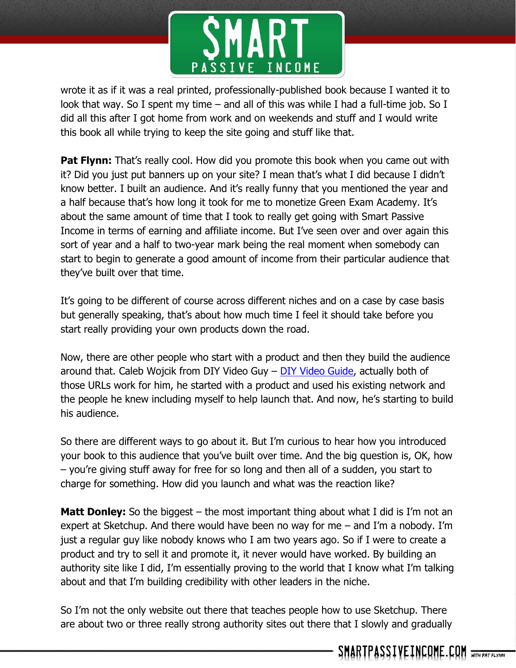

wrote it as if it was a real printed, professionally-published book because I wanted it to look that way. So I spent my time – and all of this was while I had a full-time job. So I did all this after I got home from work and on weekends and stuff and I would write this book all while trying to keep the site going and stuff like that.

**Pat Flynn:** That's really cool. How did you promote this book when you came out with it? Did you just put banners up on your site? I mean that's what I did because I didn't know better. I built an audience. And it's really funny that you mentioned the year and a half because that's how long it took for me to monetize Green Exam Academy. It's about the same amount of time that I took to really get going with Smart Passive Income in terms of earning and affiliate income. But I've seen over and over again this sort of year and a half to two-year mark being the real moment when somebody can start to begin to generate a good amount of income from their particular audience that they've built over that time.

It's going to be different of course across different niches and on a case by case basis but generally speaking, that's about how much time I feel it should take before you start really providing your own products down the road.

Now, there are other people who start with a product and then they build the audience around that. Caleb Wojcik from DIY Video Guy – [DIY Video Guide,](http://www.calebwojcik.com/diyvideoguide) actually both of those URLs work for him, he started with a product and used his existing network and the people he knew including myself to help launch that. And now, he's starting to build his audience.

So there are different ways to go about it. But I'm curious to hear how you introduced your book to this audience that you've built over time. And the big question is, OK, how – you're giving stuff away for free for so long and then all of a sudden, you start to charge for something. How did you launch and what was the reaction like?

**Matt Donley:** So the biggest – the most important thing about what I did is I'm not an expert at Sketchup. And there would have been no way for me – and I'm a nobody. I'm just a regular guy like nobody knows who I am two years ago. So if I were to create a product and try to sell it and promote it, it never would have worked. By building an authority site like I did, I'm essentially proving to the world that I know what I'm talking about and that I'm building credibility with other leaders in the niche.

So I'm not the only website out there that teaches people how to use Sketchup. There are about two or three really strong authority sites out there that I slowly and gradually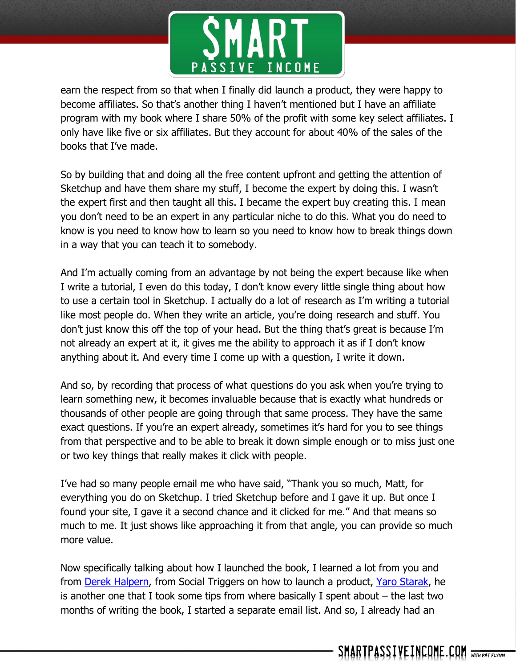

earn the respect from so that when I finally did launch a product, they were happy to become affiliates. So that's another thing I haven't mentioned but I have an affiliate program with my book where I share 50% of the profit with some key select affiliates. I only have like five or six affiliates. But they account for about 40% of the sales of the books that I've made.

So by building that and doing all the free content upfront and getting the attention of Sketchup and have them share my stuff, I become the expert by doing this. I wasn't the expert first and then taught all this. I became the expert buy creating this. I mean you don't need to be an expert in any particular niche to do this. What you do need to know is you need to know how to learn so you need to know how to break things down in a way that you can teach it to somebody.

And I'm actually coming from an advantage by not being the expert because like when I write a tutorial, I even do this today, I don't know every little single thing about how to use a certain tool in Sketchup. I actually do a lot of research as I'm writing a tutorial like most people do. When they write an article, you're doing research and stuff. You don't just know this off the top of your head. But the thing that's great is because I'm not already an expert at it, it gives me the ability to approach it as if I don't know anything about it. And every time I come up with a question, I write it down.

And so, by recording that process of what questions do you ask when you're trying to learn something new, it becomes invaluable because that is exactly what hundreds or thousands of other people are going through that same process. They have the same exact questions. If you're an expert already, sometimes it's hard for you to see things from that perspective and to be able to break it down simple enough or to miss just one or two key things that really makes it click with people.

I've had so many people email me who have said, "Thank you so much, Matt, for everything you do on Sketchup. I tried Sketchup before and I gave it up. But once I found your site, I gave it a second chance and it clicked for me." And that means so much to me. It just shows like approaching it from that angle, you can provide so much more value.

Now specifically talking about how I launched the book, I learned a lot from you and from [Derek Halpern,](http://www.socialtriggers.com/) from Social Triggers on how to launch a product, [Yaro Starak,](http://www.entrepreneurs-journey.com/) he is another one that I took some tips from where basically I spent about – the last two months of writing the book, I started a separate email list. And so, I already had an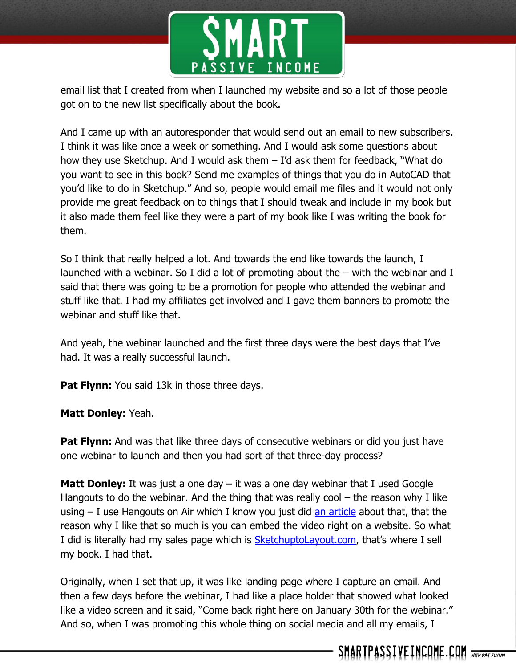

email list that I created from when I launched my website and so a lot of those people got on to the new list specifically about the book.

And I came up with an autoresponder that would send out an email to new subscribers. I think it was like once a week or something. And I would ask some questions about how they use Sketchup. And I would ask them – I'd ask them for feedback, "What do you want to see in this book? Send me examples of things that you do in AutoCAD that you'd like to do in Sketchup." And so, people would email me files and it would not only provide me great feedback on to things that I should tweak and include in my book but it also made them feel like they were a part of my book like I was writing the book for them.

So I think that really helped a lot. And towards the end like towards the launch, I launched with a webinar. So I did a lot of promoting about the – with the webinar and I said that there was going to be a promotion for people who attended the webinar and stuff like that. I had my affiliates get involved and I gave them banners to promote the webinar and stuff like that.

And yeah, the webinar launched and the first three days were the best days that I've had. It was a really successful launch.

**Pat Flynn:** You said 13k in those three days.

#### **Matt Donley:** Yeah.

**Pat Flynn:** And was that like three days of consecutive webinars or did you just have one webinar to launch and then you had sort of that three-day process?

**Matt Donley:** It was just a one day – it was a one day webinar that I used Google Hangouts to do the webinar. And the thing that was really cool – the reason why I like using  $-$  I use Hangouts on Air which I know you just did [an article](http://www.smartpassiveincome.com/hangouts-on-air-for-webinars/) about that, that the reason why I like that so much is you can embed the video right on a website. So what I did is literally had my sales page which is [SketchuptoLayout.com](http://sketchuptolayout.com/), that's where I sell my book. I had that.

Originally, when I set that up, it was like landing page where I capture an email. And then a few days before the webinar, I had like a place holder that showed what looked like a video screen and it said, "Come back right here on January 30th for the webinar." And so, when I was promoting this whole thing on social media and all my emails, I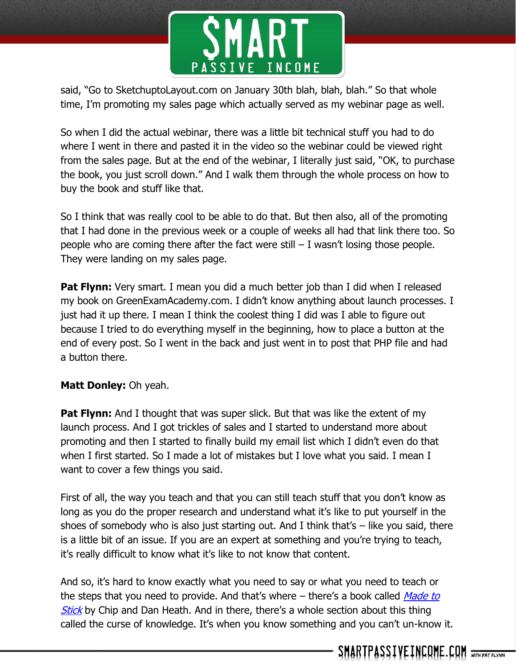

said, "Go to SketchuptoLayout.com on January 30th blah, blah, blah." So that whole time, I'm promoting my sales page which actually served as my webinar page as well.

So when I did the actual webinar, there was a little bit technical stuff you had to do where I went in there and pasted it in the video so the webinar could be viewed right from the sales page. But at the end of the webinar, I literally just said, "OK, to purchase the book, you just scroll down." And I walk them through the whole process on how to buy the book and stuff like that.

So I think that was really cool to be able to do that. But then also, all of the promoting that I had done in the previous week or a couple of weeks all had that link there too. So people who are coming there after the fact were still  $-1$  wasn't losing those people. They were landing on my sales page.

**Pat Flynn:** Very smart. I mean you did a much better job than I did when I released my book on GreenExamAcademy.com. I didn't know anything about launch processes. I just had it up there. I mean I think the coolest thing I did was I able to figure out because I tried to do everything myself in the beginning, how to place a button at the end of every post. So I went in the back and just went in to post that PHP file and had a button there.

# **Matt Donley:** Oh yeah.

**Pat Flynn:** And I thought that was super slick. But that was like the extent of my launch process. And I got trickles of sales and I started to understand more about promoting and then I started to finally build my email list which I didn't even do that when I first started. So I made a lot of mistakes but I love what you said. I mean I want to cover a few things you said.

First of all, the way you teach and that you can still teach stuff that you don't know as long as you do the proper research and understand what it's like to put yourself in the shoes of somebody who is also just starting out. And I think that's  $-$  like you said, there is a little bit of an issue. If you are an expert at something and you're trying to teach, it's really difficult to know what it's like to not know that content.

And so, it's hard to know exactly what you need to say or what you need to teach or the steps that you need to provide. And that's where  $-$  there's a book called *Made to* [Stick](http://www.smartpassiveincome.com/madetostick) by Chip and Dan Heath. And in there, there's a whole section about this thing called the curse of knowledge. It's when you know something and you can't un-know it.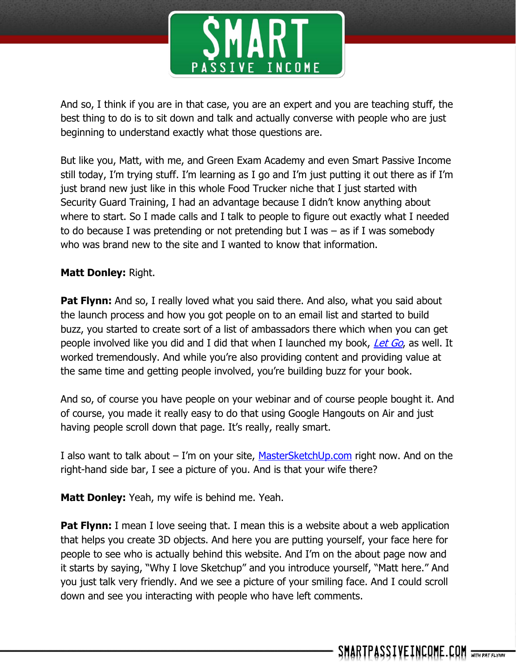

And so, I think if you are in that case, you are an expert and you are teaching stuff, the best thing to do is to sit down and talk and actually converse with people who are just beginning to understand exactly what those questions are.

But like you, Matt, with me, and Green Exam Academy and even Smart Passive Income still today, I'm trying stuff. I'm learning as I go and I'm just putting it out there as if I'm just brand new just like in this whole Food Trucker niche that I just started with Security Guard Training, I had an advantage because I didn't know anything about where to start. So I made calls and I talk to people to figure out exactly what I needed to do because I was pretending or not pretending but I was – as if I was somebody who was brand new to the site and I wanted to know that information.

## **Matt Donley:** Right.

**Pat Flynn:** And so, I really loved what you said there. And also, what you said about the launch process and how you got people on to an email list and started to build buzz, you started to create sort of a list of ambassadors there which when you can get people involved like you did and I did that when I launched my book, [Let Go](http://www.patflynn.com/letgo), as well. It worked tremendously. And while you're also providing content and providing value at the same time and getting people involved, you're building buzz for your book.

And so, of course you have people on your webinar and of course people bought it. And of course, you made it really easy to do that using Google Hangouts on Air and just having people scroll down that page. It's really, really smart.

I also want to talk about  $-$  I'm on your site, [MasterSketchUp.com](http://mastersketchup.com/) right now. And on the right-hand side bar, I see a picture of you. And is that your wife there?

**Matt Donley:** Yeah, my wife is behind me. Yeah.

**Pat Flynn:** I mean I love seeing that. I mean this is a website about a web application that helps you create 3D objects. And here you are putting yourself, your face here for people to see who is actually behind this website. And I'm on the about page now and it starts by saying, "Why I love Sketchup" and you introduce yourself, "Matt here." And you just talk very friendly. And we see a picture of your smiling face. And I could scroll down and see you interacting with people who have left comments.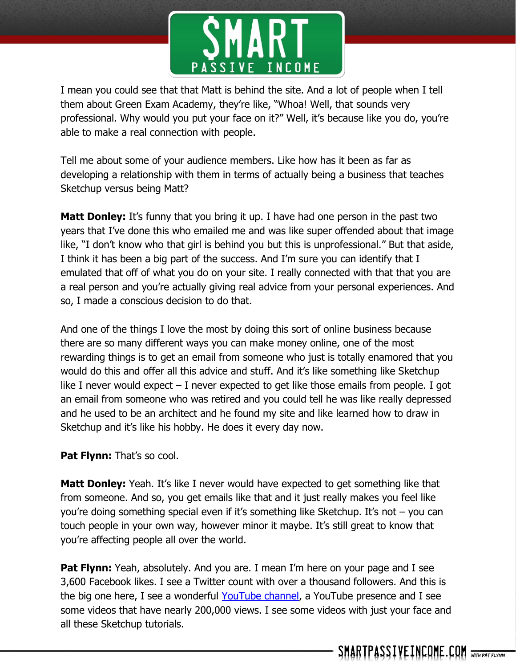

I mean you could see that that Matt is behind the site. And a lot of people when I tell them about Green Exam Academy, they're like, "Whoa! Well, that sounds very professional. Why would you put your face on it?" Well, it's because like you do, you're able to make a real connection with people.

Tell me about some of your audience members. Like how has it been as far as developing a relationship with them in terms of actually being a business that teaches Sketchup versus being Matt?

**Matt Donley:** It's funny that you bring it up. I have had one person in the past two years that I've done this who emailed me and was like super offended about that image like, "I don't know who that girl is behind you but this is unprofessional." But that aside, I think it has been a big part of the success. And I'm sure you can identify that I emulated that off of what you do on your site. I really connected with that that you are a real person and you're actually giving real advice from your personal experiences. And so, I made a conscious decision to do that.

And one of the things I love the most by doing this sort of online business because there are so many different ways you can make money online, one of the most rewarding things is to get an email from someone who just is totally enamored that you would do this and offer all this advice and stuff. And it's like something like Sketchup like I never would expect – I never expected to get like those emails from people. I got an email from someone who was retired and you could tell he was like really depressed and he used to be an architect and he found my site and like learned how to draw in Sketchup and it's like his hobby. He does it every day now.

**Pat Flynn: That's so cool.** 

**Matt Donley:** Yeah. It's like I never would have expected to get something like that from someone. And so, you get emails like that and it just really makes you feel like you're doing something special even if it's something like Sketchup. It's not – you can touch people in your own way, however minor it maybe. It's still great to know that you're affecting people all over the world.

**Pat Flynn:** Yeah, absolutely. And you are. I mean I'm here on your page and I see 3,600 Facebook likes. I see a Twitter count with over a thousand followers. And this is the big one here, I see a wonderful [YouTube channel,](https://www.youtube.com/user/MasterSketchupdotcom) a YouTube presence and I see some videos that have nearly 200,000 views. I see some videos with just your face and all these Sketchup tutorials.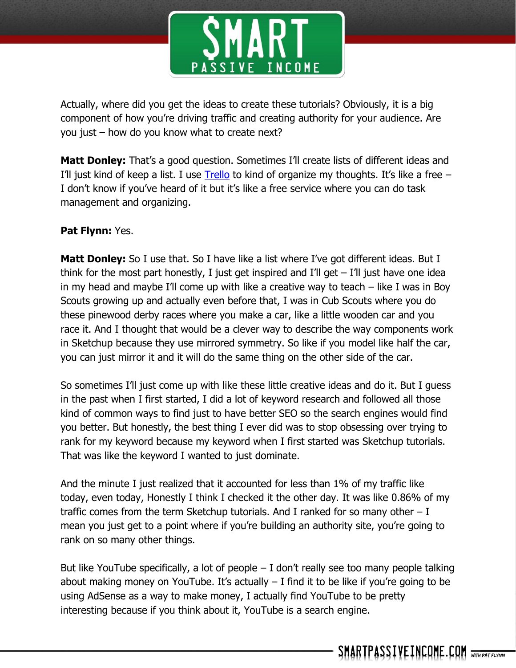

Actually, where did you get the ideas to create these tutorials? Obviously, it is a big component of how you're driving traffic and creating authority for your audience. Are you just – how do you know what to create next?

**Matt Donley:** That's a good question. Sometimes I'll create lists of different ideas and I'll just kind of keep a list. I use [Trello](http://www.trello.com/) to kind of organize my thoughts. It's like a free  $-$ I don't know if you've heard of it but it's like a free service where you can do task management and organizing.

## **Pat Flynn: Yes.**

**Matt Donley:** So I use that. So I have like a list where I've got different ideas. But I think for the most part honestly, I just get inspired and I'll get – I'll just have one idea in my head and maybe I'll come up with like a creative way to teach – like I was in Boy Scouts growing up and actually even before that, I was in Cub Scouts where you do these pinewood derby races where you make a car, like a little wooden car and you race it. And I thought that would be a clever way to describe the way components work in Sketchup because they use mirrored symmetry. So like if you model like half the car, you can just mirror it and it will do the same thing on the other side of the car.

So sometimes I'll just come up with like these little creative ideas and do it. But I guess in the past when I first started, I did a lot of keyword research and followed all those kind of common ways to find just to have better SEO so the search engines would find you better. But honestly, the best thing I ever did was to stop obsessing over trying to rank for my keyword because my keyword when I first started was Sketchup tutorials. That was like the keyword I wanted to just dominate.

And the minute I just realized that it accounted for less than 1% of my traffic like today, even today, Honestly I think I checked it the other day. It was like 0.86% of my traffic comes from the term Sketchup tutorials. And I ranked for so many other  $-1$ mean you just get to a point where if you're building an authority site, you're going to rank on so many other things.

But like YouTube specifically, a lot of people – I don't really see too many people talking about making money on YouTube. It's actually  $-$  I find it to be like if you're going to be using AdSense as a way to make money, I actually find YouTube to be pretty interesting because if you think about it, YouTube is a search engine.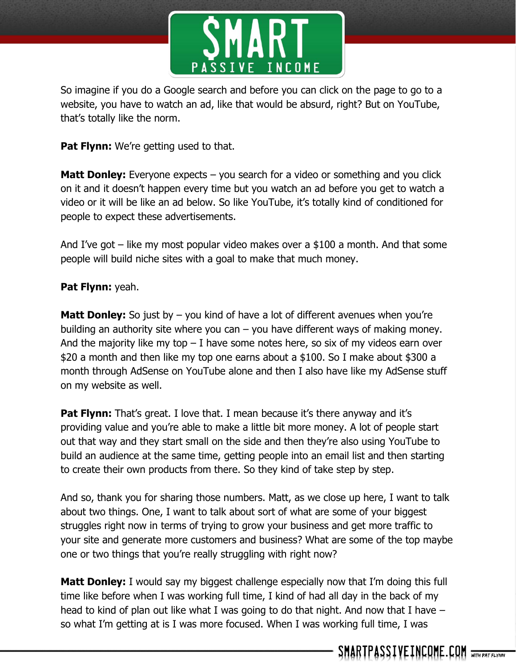

So imagine if you do a Google search and before you can click on the page to go to a website, you have to watch an ad, like that would be absurd, right? But on YouTube, that's totally like the norm.

**Pat Flynn:** We're getting used to that.

**Matt Donley:** Everyone expects – you search for a video or something and you click on it and it doesn't happen every time but you watch an ad before you get to watch a video or it will be like an ad below. So like YouTube, it's totally kind of conditioned for people to expect these advertisements.

And I've got – like my most popular video makes over a \$100 a month. And that some people will build niche sites with a goal to make that much money.

## **Pat Flynn:** yeah.

**Matt Donley:** So just by – you kind of have a lot of different avenues when you're building an authority site where you can – you have different ways of making money. And the majority like my top  $-1$  have some notes here, so six of my videos earn over \$20 a month and then like my top one earns about a \$100. So I make about \$300 a month through AdSense on YouTube alone and then I also have like my AdSense stuff on my website as well.

**Pat Flynn:** That's great. I love that. I mean because it's there anyway and it's providing value and you're able to make a little bit more money. A lot of people start out that way and they start small on the side and then they're also using YouTube to build an audience at the same time, getting people into an email list and then starting to create their own products from there. So they kind of take step by step.

And so, thank you for sharing those numbers. Matt, as we close up here, I want to talk about two things. One, I want to talk about sort of what are some of your biggest struggles right now in terms of trying to grow your business and get more traffic to your site and generate more customers and business? What are some of the top maybe one or two things that you're really struggling with right now?

**Matt Donley:** I would say my biggest challenge especially now that I'm doing this full time like before when I was working full time, I kind of had all day in the back of my head to kind of plan out like what I was going to do that night. And now that I have – so what I'm getting at is I was more focused. When I was working full time, I was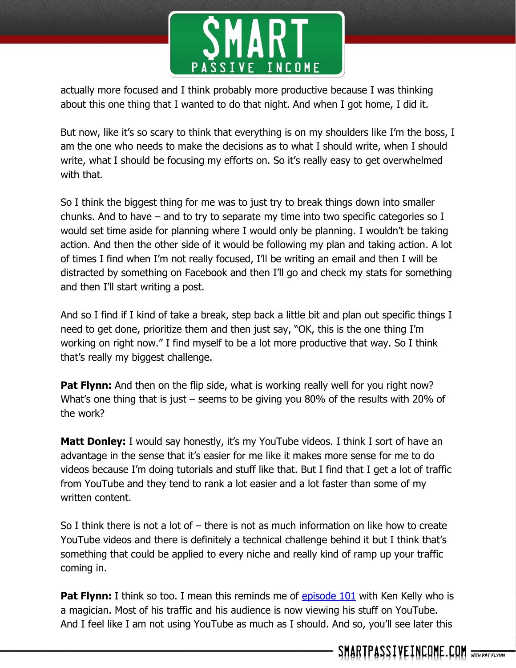

actually more focused and I think probably more productive because I was thinking about this one thing that I wanted to do that night. And when I got home, I did it.

But now, like it's so scary to think that everything is on my shoulders like I'm the boss, I am the one who needs to make the decisions as to what I should write, when I should write, what I should be focusing my efforts on. So it's really easy to get overwhelmed with that.

So I think the biggest thing for me was to just try to break things down into smaller chunks. And to have – and to try to separate my time into two specific categories so I would set time aside for planning where I would only be planning. I wouldn't be taking action. And then the other side of it would be following my plan and taking action. A lot of times I find when I'm not really focused, I'll be writing an email and then I will be distracted by something on Facebook and then I'll go and check my stats for something and then I'll start writing a post.

And so I find if I kind of take a break, step back a little bit and plan out specific things I need to get done, prioritize them and then just say, "OK, this is the one thing I'm working on right now." I find myself to be a lot more productive that way. So I think that's really my biggest challenge.

**Pat Flynn:** And then on the flip side, what is working really well for you right now? What's one thing that is just – seems to be giving you 80% of the results with 20% of the work?

**Matt Donley:** I would say honestly, it's my YouTube videos. I think I sort of have an advantage in the sense that it's easier for me like it makes more sense for me to do videos because I'm doing tutorials and stuff like that. But I find that I get a lot of traffic from YouTube and they tend to rank a lot easier and a lot faster than some of my written content.

So I think there is not a lot of – there is not as much information on like how to create YouTube videos and there is definitely a technical challenge behind it but I think that's something that could be applied to every niche and really kind of ramp up your traffic coming in.

**Pat Flynn:** I think so too. I mean this reminds me of [episode 101](http://www.smartpassiveincome.com/session101) with Ken Kelly who is a magician. Most of his traffic and his audience is now viewing his stuff on YouTube. And I feel like I am not using YouTube as much as I should. And so, you'll see later this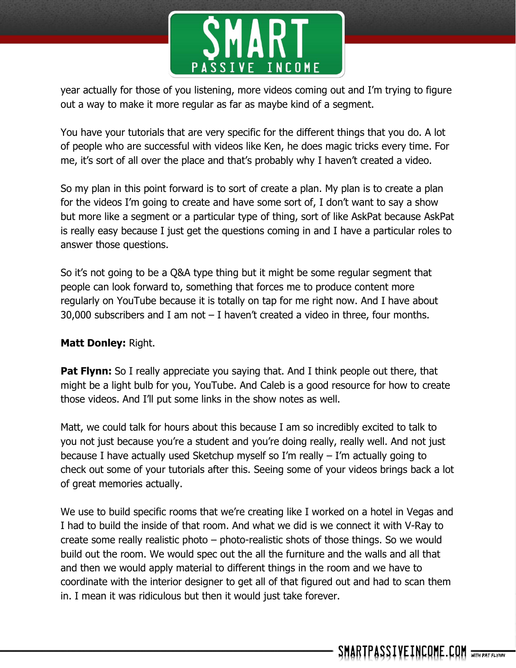

year actually for those of you listening, more videos coming out and I'm trying to figure out a way to make it more regular as far as maybe kind of a segment.

You have your tutorials that are very specific for the different things that you do. A lot of people who are successful with videos like Ken, he does magic tricks every time. For me, it's sort of all over the place and that's probably why I haven't created a video.

So my plan in this point forward is to sort of create a plan. My plan is to create a plan for the videos I'm going to create and have some sort of, I don't want to say a show but more like a segment or a particular type of thing, sort of like AskPat because AskPat is really easy because I just get the questions coming in and I have a particular roles to answer those questions.

So it's not going to be a Q&A type thing but it might be some regular segment that people can look forward to, something that forces me to produce content more regularly on YouTube because it is totally on tap for me right now. And I have about 30,000 subscribers and I am not  $-$  I haven't created a video in three, four months.

#### **Matt Donley:** Right.

**Pat Flynn:** So I really appreciate you saying that. And I think people out there, that might be a light bulb for you, YouTube. And Caleb is a good resource for how to create those videos. And I'll put some links in the show notes as well.

Matt, we could talk for hours about this because I am so incredibly excited to talk to you not just because you're a student and you're doing really, really well. And not just because I have actually used Sketchup myself so I'm really – I'm actually going to check out some of your tutorials after this. Seeing some of your videos brings back a lot of great memories actually.

We use to build specific rooms that we're creating like I worked on a hotel in Vegas and I had to build the inside of that room. And what we did is we connect it with V-Ray to create some really realistic photo – photo-realistic shots of those things. So we would build out the room. We would spec out the all the furniture and the walls and all that and then we would apply material to different things in the room and we have to coordinate with the interior designer to get all of that figured out and had to scan them in. I mean it was ridiculous but then it would just take forever.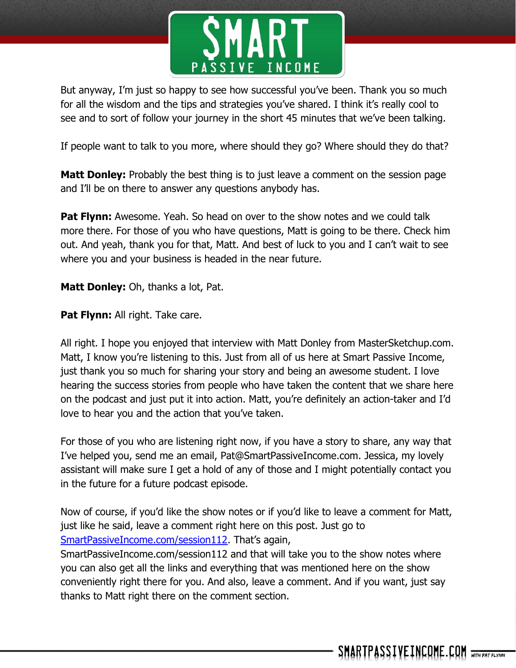

But anyway, I'm just so happy to see how successful you've been. Thank you so much for all the wisdom and the tips and strategies you've shared. I think it's really cool to see and to sort of follow your journey in the short 45 minutes that we've been talking.

If people want to talk to you more, where should they go? Where should they do that?

**Matt Donley:** Probably the best thing is to just leave a comment on the session page and I'll be on there to answer any questions anybody has.

**Pat Flynn:** Awesome. Yeah. So head on over to the show notes and we could talk more there. For those of you who have questions, Matt is going to be there. Check him out. And yeah, thank you for that, Matt. And best of luck to you and I can't wait to see where you and your business is headed in the near future.

**Matt Donley:** Oh, thanks a lot, Pat.

**Pat Flynn: All right. Take care.** 

All right. I hope you enjoyed that interview with Matt Donley from MasterSketchup.com. Matt, I know you're listening to this. Just from all of us here at Smart Passive Income, just thank you so much for sharing your story and being an awesome student. I love hearing the success stories from people who have taken the content that we share here on the podcast and just put it into action. Matt, you're definitely an action-taker and I'd love to hear you and the action that you've taken.

For those of you who are listening right now, if you have a story to share, any way that I've helped you, send me an email, Pat@SmartPassiveIncome.com. Jessica, my lovely assistant will make sure I get a hold of any of those and I might potentially contact you in the future for a future podcast episode.

Now of course, if you'd like the show notes or if you'd like to leave a comment for Matt, just like he said, leave a comment right here on this post. Just go to [SmartPassiveIncome.com/session112](http://smartpassiveincome.com/session112). That's again,

SmartPassiveIncome.com/session112 and that will take you to the show notes where you can also get all the links and everything that was mentioned here on the show conveniently right there for you. And also, leave a comment. And if you want, just say thanks to Matt right there on the comment section.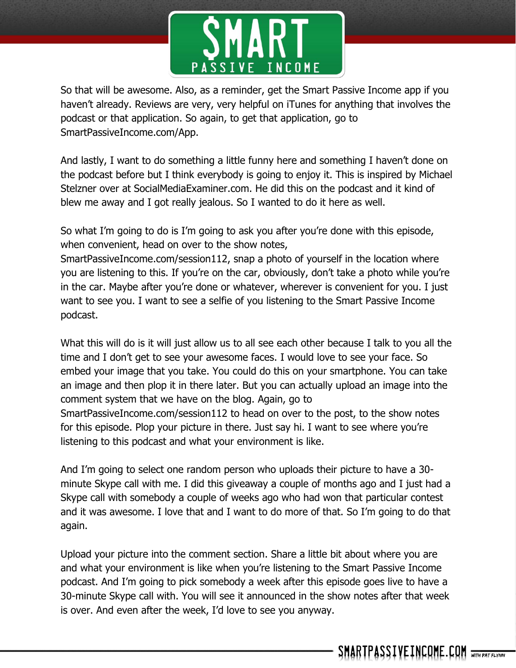

So that will be awesome. Also, as a reminder, get the Smart Passive Income app if you haven't already. Reviews are very, very helpful on iTunes for anything that involves the podcast or that application. So again, to get that application, go to SmartPassiveIncome.com/App.

And lastly, I want to do something a little funny here and something I haven't done on the podcast before but I think everybody is going to enjoy it. This is inspired by Michael Stelzner over at SocialMediaExaminer.com. He did this on the podcast and it kind of blew me away and I got really jealous. So I wanted to do it here as well.

So what I'm going to do is I'm going to ask you after you're done with this episode, when convenient, head on over to the show notes,

SmartPassiveIncome.com/session112, snap a photo of yourself in the location where you are listening to this. If you're on the car, obviously, don't take a photo while you're in the car. Maybe after you're done or whatever, wherever is convenient for you. I just want to see you. I want to see a selfie of you listening to the Smart Passive Income podcast.

What this will do is it will just allow us to all see each other because I talk to you all the time and I don't get to see your awesome faces. I would love to see your face. So embed your image that you take. You could do this on your smartphone. You can take an image and then plop it in there later. But you can actually upload an image into the comment system that we have on the blog. Again, go to SmartPassiveIncome.com/session112 to head on over to the post, to the show notes

for this episode. Plop your picture in there. Just say hi. I want to see where you're listening to this podcast and what your environment is like.

And I'm going to select one random person who uploads their picture to have a 30 minute Skype call with me. I did this giveaway a couple of months ago and I just had a Skype call with somebody a couple of weeks ago who had won that particular contest and it was awesome. I love that and I want to do more of that. So I'm going to do that again.

Upload your picture into the comment section. Share a little bit about where you are and what your environment is like when you're listening to the Smart Passive Income podcast. And I'm going to pick somebody a week after this episode goes live to have a 30-minute Skype call with. You will see it announced in the show notes after that week is over. And even after the week, I'd love to see you anyway.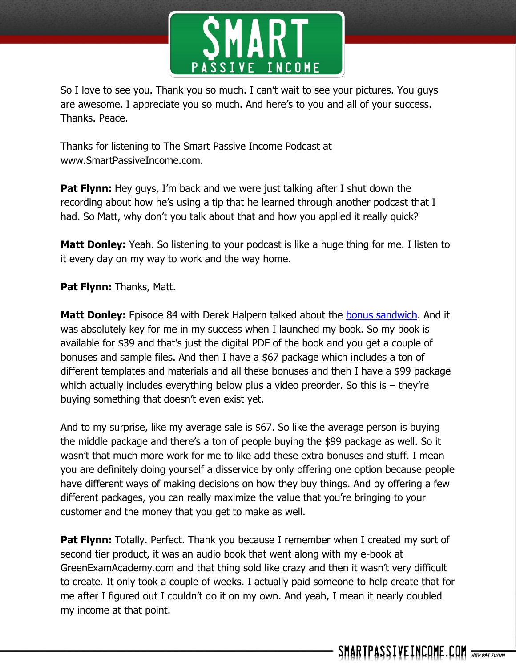

So I love to see you. Thank you so much. I can't wait to see your pictures. You guys are awesome. I appreciate you so much. And here's to you and all of your success. Thanks. Peace.

Thanks for listening to The Smart Passive Income Podcast at www.SmartPassiveIncome.com.

**Pat Flynn:** Hey guys, I'm back and we were just talking after I shut down the recording about how he's using a tip that he learned through another podcast that I had. So Matt, why don't you talk about that and how you applied it really quick?

**Matt Donley:** Yeah. So listening to your podcast is like a huge thing for me. I listen to it every day on my way to work and the way home.

Pat Flynn: Thanks, Matt.

**Matt Donley:** Episode 84 with Derek Halpern talked about the **bonus sandwich**. And it was absolutely key for me in my success when I launched my book. So my book is available for \$39 and that's just the digital PDF of the book and you get a couple of bonuses and sample files. And then I have a \$67 package which includes a ton of different templates and materials and all these bonuses and then I have a \$99 package which actually includes everything below plus a video preorder. So this is  $-$  they're buying something that doesn't even exist yet.

And to my surprise, like my average sale is \$67. So like the average person is buying the middle package and there's a ton of people buying the \$99 package as well. So it wasn't that much more work for me to like add these extra bonuses and stuff. I mean you are definitely doing yourself a disservice by only offering one option because people have different ways of making decisions on how they buy things. And by offering a few different packages, you can really maximize the value that you're bringing to your customer and the money that you get to make as well.

**Pat Flynn:** Totally. Perfect. Thank you because I remember when I created my sort of second tier product, it was an audio book that went along with my e-book at GreenExamAcademy.com and that thing sold like crazy and then it wasn't very difficult to create. It only took a couple of weeks. I actually paid someone to help create that for me after I figured out I couldn't do it on my own. And yeah, I mean it nearly doubled my income at that point.